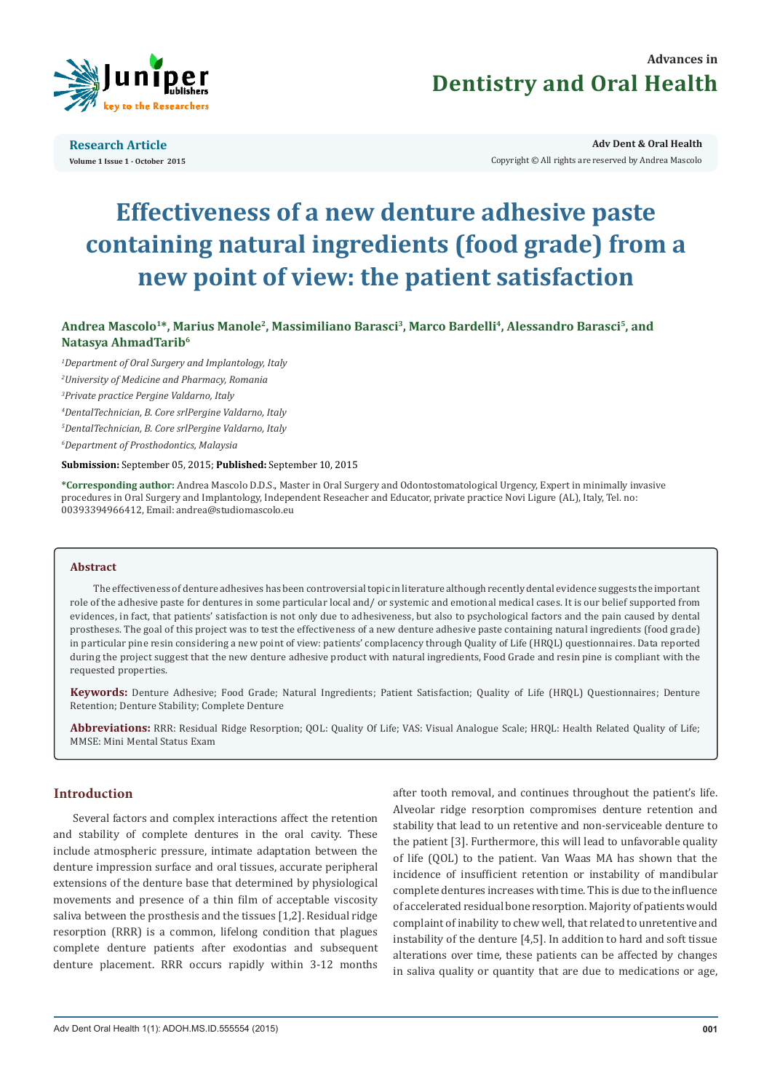

# **Advances in Dentistry and Oral Health**

**Research Article Volume 1 Issue 1 - October 2015**

**Adv Dent & Oral Health**  Copyright © All rights are reserved by Andrea Mascolo

# **Effectiveness of a new denture adhesive paste containing natural ingredients (food grade) from a new point of view: the patient satisfaction**

Andrea Mascolo<sup>1\*</sup>, Marius Manole<sup>2</sup>, Massimiliano Barasci<sup>3</sup>, Marco Bardelli<sup>4</sup>, Alessandro Barasci<sup>5</sup>, and **Natasya AhmadTarib6**

*1 Department of Oral Surgery and Implantology, Italy*

*2 University of Medicine and Pharmacy, Romania*

*3 Private practice Pergine Valdarno, Italy*

*4 DentalTechnician, B. Core srlPergine Valdarno, Italy*

*5 DentalTechnician, B. Core srlPergine Valdarno, Italy*

*6 Department of Prosthodontics, Malaysia*

#### **Submission:** September 05, 2015; **Published:** September 10, 2015

**\*Corresponding author:** Andrea Mascolo D.D.S., Master in Oral Surgery and Odontostomatological Urgency, Expert in minimally invasive procedures in Oral Surgery and Implantology, Independent Reseacher and Educator, private practice Novi Ligure (AL), Italy, Tel. no: 00393394966412, Email: andrea@studiomascolo.eu

# **Abstract**

The effectiveness of denture adhesives has been controversial topic in literature although recently dental evidence suggests the important role of the adhesive paste for dentures in some particular local and/ or systemic and emotional medical cases. It is our belief supported from evidences, in fact, that patients' satisfaction is not only due to adhesiveness, but also to psychological factors and the pain caused by dental prostheses. The goal of this project was to test the effectiveness of a new denture adhesive paste containing natural ingredients (food grade) in particular pine resin considering a new point of view: patients' complacency through Quality of Life (HRQL) questionnaires. Data reported during the project suggest that the new denture adhesive product with natural ingredients, Food Grade and resin pine is compliant with the requested properties.

**Keywords:** Denture Adhesive; Food Grade; Natural Ingredients; Patient Satisfaction; Quality of Life (HRQL) Questionnaires; Denture Retention; Denture Stability; Complete Denture

**Abbreviations:** RRR: Residual Ridge Resorption; QOL: Quality Of Life; VAS: Visual Analogue Scale; HRQL: Health Related Quality of Life; MMSE: Mini Mental Status Exam

# **Introduction**

Several factors and complex interactions affect the retention and stability of complete dentures in the oral cavity. These include atmospheric pressure, intimate adaptation between the denture impression surface and oral tissues, accurate peripheral extensions of the denture base that determined by physiological movements and presence of a thin film of acceptable viscosity saliva between the prosthesis and the tissues [1,2]. Residual ridge resorption (RRR) is a common, lifelong condition that plagues complete denture patients after exodontias and subsequent denture placement. RRR occurs rapidly within 3-12 months after tooth removal, and continues throughout the patient's life. Alveolar ridge resorption compromises denture retention and stability that lead to un retentive and non-serviceable denture to the patient [3]. Furthermore, this will lead to unfavorable quality of life (QOL) to the patient. Van Waas MA has shown that the incidence of insufficient retention or instability of mandibular complete dentures increases with time. This is due to the influence of accelerated residual bone resorption. Majority of patients would complaint of inability to chew well, that related to unretentive and instability of the denture [4,5]. In addition to hard and soft tissue alterations over time, these patients can be affected by changes in saliva quality or quantity that are due to medications or age,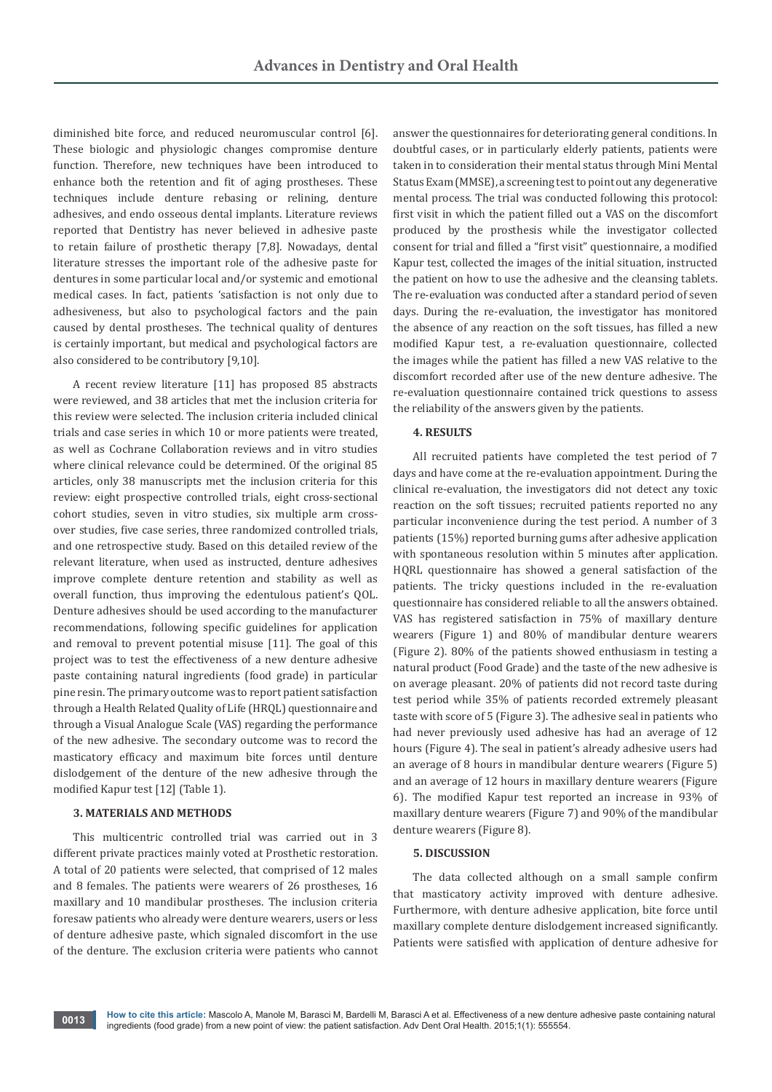diminished bite force, and reduced neuromuscular control [6]. These biologic and physiologic changes compromise denture function. Therefore, new techniques have been introduced to enhance both the retention and fit of aging prostheses. These techniques include denture rebasing or relining, denture adhesives, and endo osseous dental implants. Literature reviews reported that Dentistry has never believed in adhesive paste to retain failure of prosthetic therapy [7,8]. Nowadays, dental literature stresses the important role of the adhesive paste for dentures in some particular local and/or systemic and emotional medical cases. In fact, patients 'satisfaction is not only due to adhesiveness, but also to psychological factors and the pain caused by dental prostheses. The technical quality of dentures is certainly important, but medical and psychological factors are also considered to be contributory [9,10].

A recent review literature [11] has proposed 85 abstracts were reviewed, and 38 articles that met the inclusion criteria for this review were selected. The inclusion criteria included clinical trials and case series in which 10 or more patients were treated, as well as Cochrane Collaboration reviews and in vitro studies where clinical relevance could be determined. Of the original 85 articles, only 38 manuscripts met the inclusion criteria for this review: eight prospective controlled trials, eight cross-sectional cohort studies, seven in vitro studies, six multiple arm crossover studies, five case series, three randomized controlled trials, and one retrospective study. Based on this detailed review of the relevant literature, when used as instructed, denture adhesives improve complete denture retention and stability as well as overall function, thus improving the edentulous patient's QOL. Denture adhesives should be used according to the manufacturer recommendations, following specific guidelines for application and removal to prevent potential misuse [11]. The goal of this project was to test the effectiveness of a new denture adhesive paste containing natural ingredients (food grade) in particular pine resin. The primary outcome was to report patient satisfaction through a Health Related Quality of Life (HRQL) questionnaire and through a Visual Analogue Scale (VAS) regarding the performance of the new adhesive. The secondary outcome was to record the masticatory efficacy and maximum bite forces until denture dislodgement of the denture of the new adhesive through the modified Kapur test [12] (Table 1).

#### **3. MATERIALS AND METHODS**

This multicentric controlled trial was carried out in 3 different private practices mainly voted at Prosthetic restoration. A total of 20 patients were selected, that comprised of 12 males and 8 females. The patients were wearers of 26 prostheses, 16 maxillary and 10 mandibular prostheses. The inclusion criteria foresaw patients who already were denture wearers, users or less of denture adhesive paste, which signaled discomfort in the use of the denture. The exclusion criteria were patients who cannot

answer the questionnaires for deteriorating general conditions. In doubtful cases, or in particularly elderly patients, patients were taken in to consideration their mental status through Mini Mental Status Exam (MMSE), a screening test to point out any degenerative mental process. The trial was conducted following this protocol: first visit in which the patient filled out a VAS on the discomfort produced by the prosthesis while the investigator collected consent for trial and filled a "first visit" questionnaire, a modified Kapur test, collected the images of the initial situation, instructed the patient on how to use the adhesive and the cleansing tablets. The re-evaluation was conducted after a standard period of seven days. During the re-evaluation, the investigator has monitored the absence of any reaction on the soft tissues, has filled a new modified Kapur test, a re-evaluation questionnaire, collected the images while the patient has filled a new VAS relative to the discomfort recorded after use of the new denture adhesive. The re-evaluation questionnaire contained trick questions to assess the reliability of the answers given by the patients.

#### **4. RESULTS**

All recruited patients have completed the test period of 7 days and have come at the re-evaluation appointment. During the clinical re-evaluation, the investigators did not detect any toxic reaction on the soft tissues; recruited patients reported no any particular inconvenience during the test period. A number of 3 patients (15%) reported burning gums after adhesive application with spontaneous resolution within 5 minutes after application. HQRL questionnaire has showed a general satisfaction of the patients. The tricky questions included in the re-evaluation questionnaire has considered reliable to all the answers obtained. VAS has registered satisfaction in 75% of maxillary denture wearers (Figure 1) and 80% of mandibular denture wearers (Figure 2). 80% of the patients showed enthusiasm in testing a natural product (Food Grade) and the taste of the new adhesive is on average pleasant. 20% of patients did not record taste during test period while 35% of patients recorded extremely pleasant taste with score of 5 (Figure 3). The adhesive seal in patients who had never previously used adhesive has had an average of 12 hours (Figure 4). The seal in patient's already adhesive users had an average of 8 hours in mandibular denture wearers (Figure 5) and an average of 12 hours in maxillary denture wearers (Figure 6). The modified Kapur test reported an increase in 93% of maxillary denture wearers (Figure 7) and 90% of the mandibular denture wearers (Figure 8).

#### **5. DISCUSSION**

The data collected although on a small sample confirm that masticatory activity improved with denture adhesive. Furthermore, with denture adhesive application, bite force until maxillary complete denture dislodgement increased significantly. Patients were satisfied with application of denture adhesive for